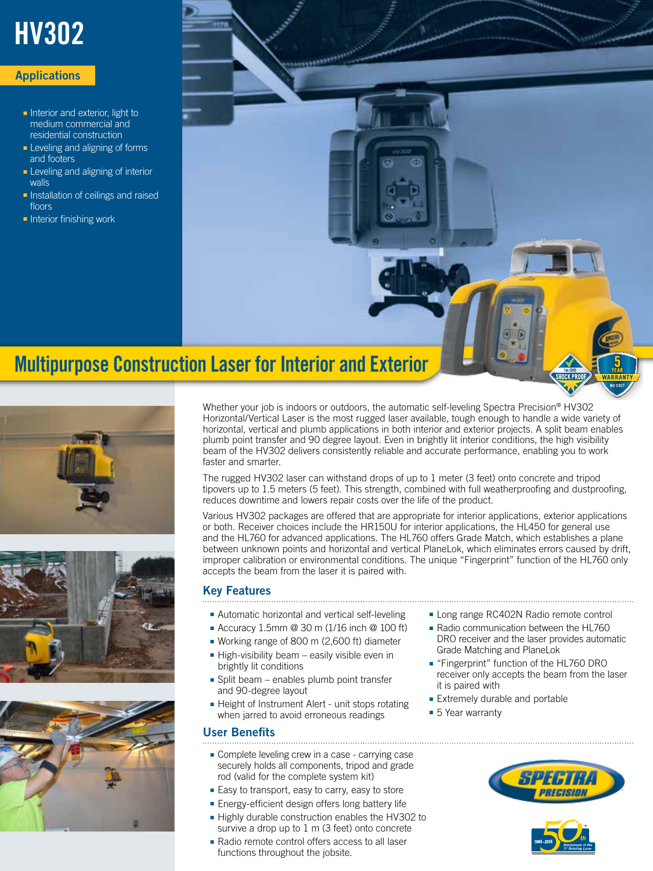# HV302

## **Applications**

- Interior and exterior, light to medium commercial and residential construction
- Leveling and aligning of forms and footers
- Leveling and aligning of interior walls
- Installation of ceilings and raised floors
- Interior finishing work









Whether your job is indoors or outdoors, the automatic self-leveling Spectra Precision® HV302 Horizontal/Vertical Laser is the most rugged laser available, tough enough to handle a wide variety of horizontal, vertical and plumb applications in both interior and exterior projects. A split beam enables plumb point transfer and 90 degree layout. Even in brightly lit interior conditions, the high visibility beam of the HV302 delivers consistently reliable and accurate performance, enabling you to work faster and smarter.

The rugged HV302 laser can withstand drops of up to 1 meter (3 feet) onto concrete and tripod tipovers up to 1.5 meters (5 feet). This strength, combined with full weatherproofing and dustproofing, reduces downtime and lowers repair costs over the life of the product.

Various HV302 packages are offered that are appropriate for interior applications, exterior applications or both. Receiver choices include the HR150U for interior applications, the HL450 for general use and the HL760 for advanced applications. The HL760 offers Grade Match, which establishes a plane between unknown points and horizontal and vertical PlaneLok, which eliminates errors caused by drift, improper calibration or environmental conditions. The unique "Fingerprint" function of the HL760 only accepts the beam from the laser it is paired with.

# Key Features

- Automatic horizontal and vertical self-leveling
- Accuracy 1.5mm @ 30 m (1/16 inch @ 100 ft)
- Working range of 800 m (2,600 ft) diameter
- High-visibility beam easily visible even in brightly lit conditions
- Split beam enables plumb point transfer and 90-degree layout
- Height of Instrument Alert unit stops rotating when jarred to avoid erroneous readings

#### User Benefits

- Complete leveling crew in a case carrying case securely holds all components, tripod and grade rod (valid for the complete system kit)
- Easy to transport, easy to carry, easy to store
- Energy-efficient design offers long battery life
- Highly durable construction enables the HV302 to survive a drop up to 1 m (3 feet) onto concrete
- Radio remote control offers access to all laser functions throughout the jobsite.
- Long range RC402N Radio remote control
- Radio communication between the HL760 DRO receiver and the laser provides automatic Grade Matching and PlaneLok
- "Fingerprint" function of the HL760 DRO receiver only accepts the beam from the laser it is paired with
- Extremely durable and portable
- 5 Year warranty